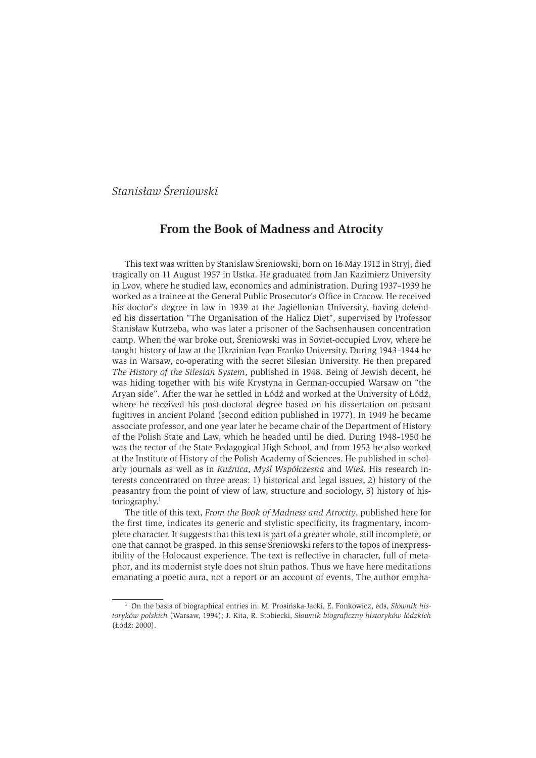# Stanisław Śreniowski

## From the Book of Madness and Atrocity

This text was written by Stanisław Śreniowski, born on 16 May 1912 in Stryj, died tragically on 11 August 1957 in Ustka. He graduated from Jan Kazimierz University in Lvov, where he studied law, economics and administration. During 1937-1939 he worked as a trainee at the General Public Prosecutor's Office in Cracow. He received his doctor's degree in law in 1939 at the Jagiellonian University, having defended his dissertation "The Organisation of the Halicz Diet", supervised by Professor Stanisław Kutrzeba, who was later a prisoner of the Sachsenhausen concentration camp. When the war broke out, Śreniowski was in Soviet-occupied Lvov, where he taught history of law at the Ukrainian Ivan Franko University. During 1943-1944 he was in Warsaw, co-operating with the secret Silesian University. He then prepared The History of the Silesian System, published in 1948. Being of Jewish decent, he was hiding together with his wife Krystyna in German-occupied Warsaw on "the Aryan side". After the war he settled in Łódź and worked at the University of Łódź, where he received his post-doctoral degree based on his dissertation on peasant fugitives in ancient Poland (second edition published in 1977). In 1949 he became associate professor, and one year later he became chair of the Department of History of the Polish State and Law, which he headed until he died. During 1948-1950 he was the rector of the State Pedagogical High School, and from 1953 he also worked at the Institute of History of the Polish Academy of Sciences. He published in scholarly journals as well as in Kuźnica, Myśl Współczesna and Wieś. His research interests concentrated on three areas: 1) historical and legal issues, 2) history of the peasantry from the point of view of law, structure and sociology, 3) history of historiography. $1$ 

The title of this text, *From the Book of Madness and Atrocity*, published here for the first time, indicates its generic and stylistic specificity, its fragmentary, incomplete character. It suggests that this text is part of a greater whole, still incomplete, or one that cannot be grasped. In this sense Sreniowski refers to the topos of inexpressibility of the Holocaust experience. The text is reflective in character, full of metaphor, and its modernist style does not shun pathos. Thus we have here meditations emanating a poetic aura, not a report or an account of events. The author empha-

<sup>&</sup>lt;sup>1</sup> On the basis of biographical entries in: M. Prosińska-Jacki, E. Fonkowicz, eds, Słownik historyków polskich (Warsaw, 1994); J. Kita, R. Stobiecki, Słownik biograficzny historyków łódzkich (Łódź: 2000).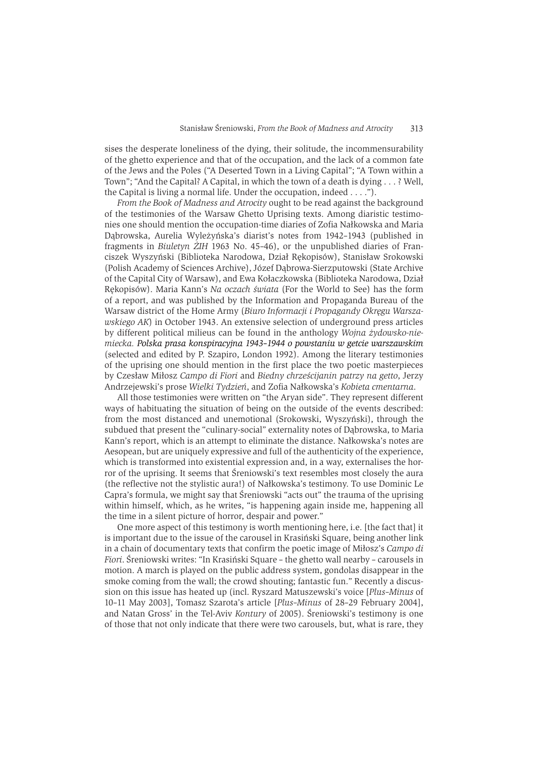sises the desperate loneliness of the dying, their solitude, the incommensurability of the ghetto experience and that of the occupation, and the lack of a common fate of the Jews and the Poles ("A Deserted Town in a Living Capital"; "A Town within a Town"; "And the Capital? A Capital, in which the town of a death is dying . . . ? Well, the Capital is living a normal life. Under the occupation, indeed  $\dots$ .

From the Book of Madness and Atrocity ought to be read against the background of the testimonies of the Warsaw Ghetto Uprising texts. Among diaristic testimonies one should mention the occupation-time diaries of Zofia Nałkowska and Maria Dabrowska, Aurelia Wyleżyńska's diarist's notes from 1942-1943 (published in fragments in Biuletyn ŻIH 1963 No. 45-46), or the unpublished diaries of Franciszek Wyszyński (Biblioteka Narodowa, Dział Rekopisów), Stanisław Srokowski (Polish Academy of Sciences Archive), Józef Dabrowa-Sierzputowski (State Archive of the Capital City of Warsaw), and Ewa Kołaczkowska (Biblioteka Narodowa, Dział Rekopisów). Maria Kann's Na oczach świata (For the World to See) has the form of a report, and was published by the Information and Propaganda Bureau of the Warsaw district of the Home Army (Biuro Informacii i Propagandy Okregu Warszawskiego AK) in October 1943. An extensive selection of underground press articles by different political milieus can be found in the anthology Woing zvdowsko-niemiecka. Polska prasa konspiracyjna 1943-1944 o powstaniu w getcie warszawskim (selected and edited by P. Szapiro, London 1992). Among the literary testimonies of the uprising one should mention in the first place the two poetic masterpieces by Czesław Miłosz Campo di Fiori and Biedny chrześcijanin patrzy na getto, Jerzy Andrzejewski's prose Wielki Tydzień, and Zofia Nałkowska's Kobieta cmentarna.

All those testimonies were written on "the Arvan side". They represent different ways of habituating the situation of being on the outside of the events described: from the most distanced and unemotional (Srokowski, Wyszyński), through the subdued that present the "culinary-social" externality notes of Dabrowska, to Maria Kann's report, which is an attempt to eliminate the distance. Nałkowska's notes are Aesopean, but are uniquely expressive and full of the authenticity of the experience, which is transformed into existential expression and, in a way, externalises the horror of the uprising. It seems that Speniowski's text resembles most closely the aura (the reflective not the stylistic aura!) of Nałkowska's testimony. To use Dominic Le Capra's formula, we might say that Sreniowski "acts out" the trauma of the uprising within himself, which, as he writes, "is happening again inside me, happening all the time in a silent picture of horror, despair and power."

One more aspect of this testimony is worth mentioning here, i.e. [the fact that] it is important due to the issue of the carousel in Krasiński Square, being another link in a chain of documentary texts that confirm the poetic image of Miłosz's Campo di Fiori. Śreniowski writes: "In Krasiński Square - the ghetto wall nearby - carousels in motion. A march is played on the public address system, gondolas disappear in the smoke coming from the wall; the crowd shouting; fantastic fun." Recently a discussion on this issue has heated up (incl. Ryszard Matuszewski's voice [Plus-Minus of 10-11 May 2003], Tomasz Szarota's article [*Plus-Minus* of 28-29 February 2004], and Natan Gross' in the Tel-Aviv Kontury of 2005). Sreniowski's testimony is one of those that not only indicate that there were two carousels, but, what is rare, they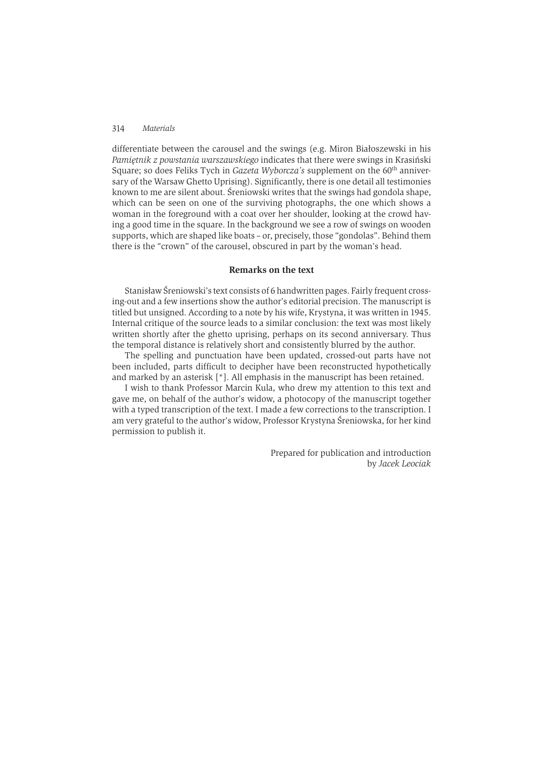#### 314 Materials

differentiate between the carousel and the swings (e.g. Miron Białoszewski in his Pamiętnik z powstania warszawskiego indicates that there were swings in Krasiński Square; so does Feliks Tych in Gazeta Wyborcza's supplement on the 60<sup>th</sup> anniversary of the Warsaw Ghetto Uprising). Significantly, there is one detail all testimonies known to me are silent about. Sreniowski writes that the swings had gondola shape, which can be seen on one of the surviving photographs, the one which shows a woman in the foreground with a coat over her shoulder, looking at the crowd haying a good time in the square. In the background we see a row of swings on wooden supports, which are shaped like boats - or, precisely, those "gondolas". Behind them there is the "crown" of the carousel, obscured in part by the woman's head.

### Remarks on the text

Stanisław Śreniowski's text consists of 6 handwritten pages. Fairly frequent crossing-out and a few insertions show the author's editorial precision. The manuscript is titled but unsigned. According to a note by his wife, Krystyna, it was written in 1945. Internal critique of the source leads to a similar conclusion: the text was most likely written shortly after the ghetto uprising, perhaps on its second anniversary. Thus the temporal distance is relatively short and consistently blurred by the author.

The spelling and punctuation have been updated, crossed-out parts have not been included, parts difficult to decipher have been reconstructed hypothetically and marked by an asterisk  $\lceil$ \*). All emphasis in the manuscript has been retained.

I wish to thank Professor Marcin Kula, who drew my attention to this text and gave me, on behalf of the author's widow, a photocopy of the manuscript together with a typed transcription of the text. I made a few corrections to the transcription. I am very grateful to the author's widow, Professor Krystyna Śreniowska, for her kind permission to publish it.

> Prepared for publication and introduction by Jacek Leociak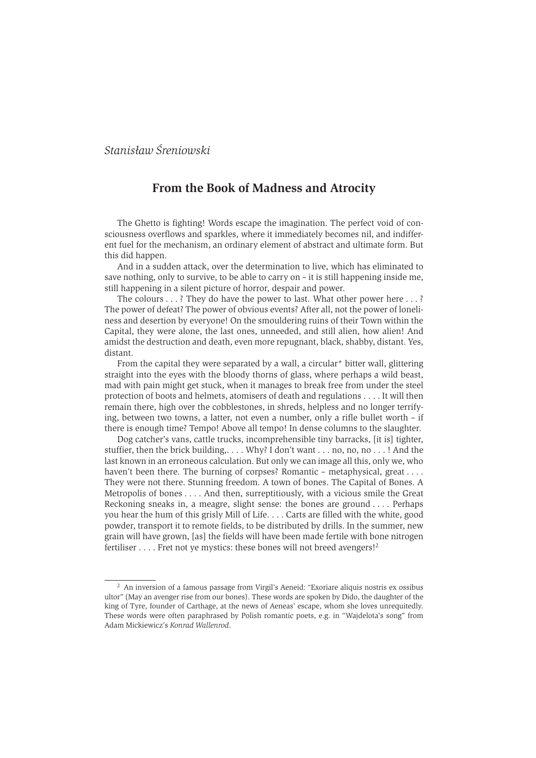## Stanisław Śrępiowski

## From the Book of Madness and Atrocity

The Ghetto is fighting! Words escape the imagination. The perfect void of consciousness overflows and sparkles, where it immediately becomes nil, and indifferent fuel for the mechanism, an ordinary element of abstract and ultimate form. But this did happen.

And in a sudden attack, over the determination to live, which has eliminated to save nothing, only to survive, to be able to carry on  $-$  it is still happening inside me. still happening in a silent picture of horror, despair and power.

The colours  $\ldots$ ? They do have the power to last. What other power here  $\ldots$ ? The power of defeat? The power of obvious events? After all, not the power of loneliness and desertion by everyone! On the smouldering ruins of their Town within the Capital, they were alone, the last ones, unneeded, and still alien, how alien! And amidst the destruction and death, even more repugnant, black, shabby, distant, Yes, distant

From the capital they were separated by a wall, a circular\* bitter wall, glittering straight into the eves with the bloody thorns of glass, where perhaps a wild beast. mad with pain might get stuck, when it manages to break free from under the steel protection of boots and helmets, atomisers of death and regulations . . . . It will then remain there, high over the cobblestones, in shreds, helpless and no longer terrifying, between two towns, a latter, not even a number, only a rifle bullet worth - if there is enough time? Tempo! Above all tempo! In dense columns to the slaughter.

Dog catcher's vans, cattle trucks, incomprehensible tiny barracks, *lit isl tighter*, stuffier, then the brick building, ... Why? I don't want ... no, no, no ...! And the last known in an erroneous calculation. But only we can image all this, only we, who haven't been there. The burning of corpses? Romantic - metaphysical, great  $\dots$ They were not there. Stunning freedom. A town of bones. The Capital of Bones. A Metropolis of bones . . . . And then, surreptitiously, with a vicious smile the Great Reckoning sneaks in, a meagre, slight sense: the bones are ground . . . . Perhaps you hear the hum of this grisly Mill of Life. . . . Carts are filled with the white, good powder, transport it to remote fields, to be distributed by drills. In the summer, new grain will have grown, [as] the fields will have been made fertile with bone nitrogen fertiliser .... Fret not ve mystics: these bones will not breed avengers!<sup>2</sup>

<sup>&</sup>lt;sup>2</sup> An inversion of a famous passage from Virgil's Aeneid: "Exoriare aliquis nostris ex ossibus ultor" (May an avenger rise from our bones). These words are spoken by Dido, the daughter of the king of Tyre, founder of Carthage, at the news of Aeneas' escape, whom she loves unrequitedly. These words were often paraphrased by Polish romantic poets, e.g. in "Wajdelota's song" from Adam Mickiewicz's Konrad Wallenrod.